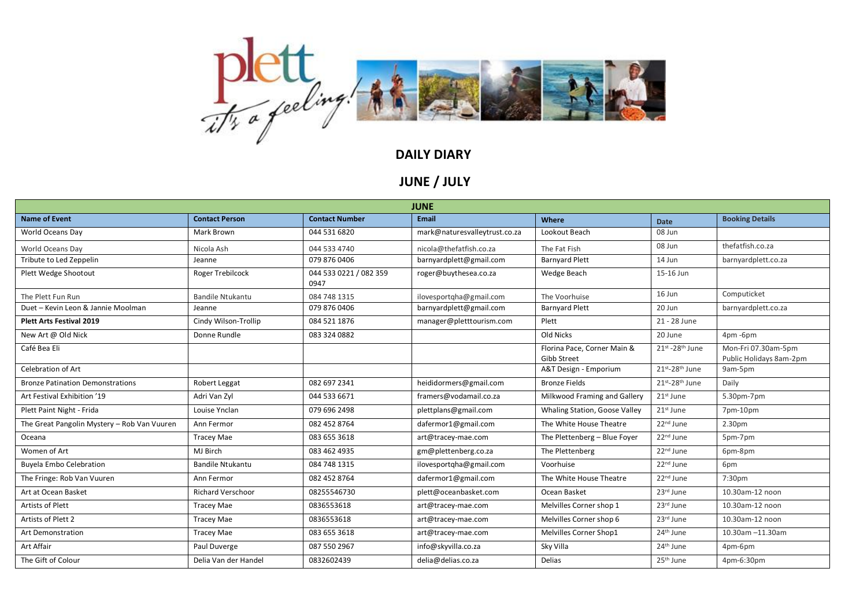

**JUNE / JULY**

| <b>JUNE</b>                                 |                          |                                |                               |                                            |                       |                                                |  |  |  |  |
|---------------------------------------------|--------------------------|--------------------------------|-------------------------------|--------------------------------------------|-----------------------|------------------------------------------------|--|--|--|--|
| <b>Name of Event</b>                        | <b>Contact Person</b>    | <b>Contact Number</b>          | <b>Email</b>                  | Where                                      | <b>Date</b>           | <b>Booking Details</b>                         |  |  |  |  |
| World Oceans Day                            | Mark Brown               | 044 531 6820                   | mark@naturesvalleytrust.co.za | Lookout Beach                              | 08 Jun                |                                                |  |  |  |  |
| World Oceans Dav                            | Nicola Ash               | 044 533 4740                   | nicola@thefatfish.co.za       | The Fat Fish                               | 08 Jun                | thefatfish.co.za                               |  |  |  |  |
| Tribute to Led Zeppelin                     | Jeanne                   | 079 876 0406                   | barnyardplett@gmail.com       | <b>Barnyard Plett</b>                      | 14 Jun                | barnyardplett.co.za                            |  |  |  |  |
| Plett Wedge Shootout                        | Roger Trebilcock         | 044 533 0221 / 082 359<br>0947 | roger@buythesea.co.za         | Wedge Beach                                | 15-16 Jun             |                                                |  |  |  |  |
| The Plett Fun Run                           | <b>Bandile Ntukantu</b>  | 084 748 1315                   | ilovesportqha@gmail.com       | The Voorhuise                              | 16 Jun                | Computicket                                    |  |  |  |  |
| Duet - Kevin Leon & Jannie Moolman          | Jeanne                   | 079 876 0406                   | barnyardplett@gmail.com       | <b>Barnyard Plett</b>                      | 20 Jun                | barnyardplett.co.za                            |  |  |  |  |
| <b>Plett Arts Festival 2019</b>             | Cindy Wilson-Trollip     | 084 521 1876                   | manager@pletttourism.com      | Plett                                      | 21 - 28 June          |                                                |  |  |  |  |
| New Art @ Old Nick                          | Donne Rundle             | 083 324 0882                   |                               | Old Nicks                                  | 20 June               | 4pm-6pm                                        |  |  |  |  |
| Café Bea Eli                                |                          |                                |                               | Florina Pace, Corner Main &<br>Gibb Street | 21st - 28th June      | Mon-Fri 07.30am-5pm<br>Public Holidays 8am-2pm |  |  |  |  |
| <b>Celebration of Art</b>                   |                          |                                |                               | A&T Design - Emporium                      | 21st-28th June        | 9am-5pm                                        |  |  |  |  |
| <b>Bronze Patination Demonstrations</b>     | Robert Leggat            | 082 697 2341                   | heididormers@gmail.com        | <b>Bronze Fields</b>                       | 21st-28th June        | Daily                                          |  |  |  |  |
| Art Festival Exhibition '19                 | Adri Van Zyl             | 044 533 6671                   | framers@vodamail.co.za        | Milkwood Framing and Gallery               | 21st June             | 5.30pm-7pm                                     |  |  |  |  |
| Plett Paint Night - Frida                   | Louise Ynclan            | 079 696 2498                   | plettplans@gmail.com          | Whaling Station, Goose Valley              | 21 <sup>st</sup> June | 7pm-10pm                                       |  |  |  |  |
| The Great Pangolin Mystery - Rob Van Vuuren | Ann Fermor               | 082 452 8764                   | dafermor1@gmail.com           | The White House Theatre                    | 22 <sup>nd</sup> June | 2.30pm                                         |  |  |  |  |
| Oceana                                      | <b>Tracey Mae</b>        | 083 655 3618                   | art@tracey-mae.com            | The Plettenberg - Blue Foyer               | 22 <sup>nd</sup> June | 5pm-7pm                                        |  |  |  |  |
| Women of Art                                | MJ Birch                 | 083 462 4935                   | gm@plettenberg.co.za          | The Plettenberg                            | 22 <sup>nd</sup> June | 6pm-8pm                                        |  |  |  |  |
| <b>Buyela Embo Celebration</b>              | <b>Bandile Ntukantu</b>  | 084 748 1315                   | ilovesportqha@gmail.com       | Voorhuise                                  | 22 <sup>nd</sup> June | 6pm                                            |  |  |  |  |
| The Fringe: Rob Van Vuuren                  | Ann Fermor               | 082 452 8764                   | dafermor1@gmail.com           | The White House Theatre                    | 22 <sup>nd</sup> June | 7:30pm                                         |  |  |  |  |
| Art at Ocean Basket                         | <b>Richard Verschoor</b> | 08255546730                    | plett@oceanbasket.com         | Ocean Basket                               | 23rd June             | 10.30am-12 noon                                |  |  |  |  |
| Artists of Plett                            | <b>Tracey Mae</b>        | 0836553618                     | art@tracey-mae.com            | Melvilles Corner shop 1                    | 23rd June             | 10.30am-12 noon                                |  |  |  |  |
| Artists of Plett 2                          | <b>Tracey Mae</b>        | 0836553618                     | art@tracey-mae.com            | Melvilles Corner shop 6                    | 23rd June             | 10.30am-12 noon                                |  |  |  |  |
| <b>Art Demonstration</b>                    | <b>Tracey Mae</b>        | 083 655 3618                   | art@tracey-mae.com            | Melvilles Corner Shop1                     | 24 <sup>th</sup> June | 10.30am -11.30am                               |  |  |  |  |
| Art Affair                                  | Paul Duverge             | 087 550 2967                   | info@skyvilla.co.za           | Sky Villa                                  | 24 <sup>th</sup> June | 4pm-6pm                                        |  |  |  |  |
| The Gift of Colour                          | Delia Van der Handel     | 0832602439                     | delia@delias.co.za            | <b>Delias</b>                              | 25 <sup>th</sup> June | 4pm-6:30pm                                     |  |  |  |  |